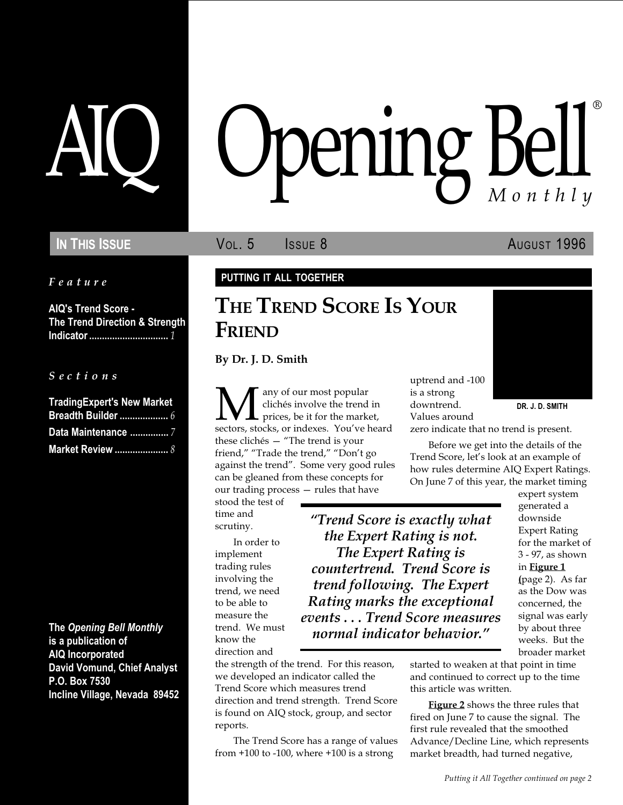Feature

AIQ's Trend Score - The Trend Direction & Strength Indicator ............................... 1

S e c t i o n s

| <b>TradingExpert's New Market</b> |  |
|-----------------------------------|--|
|                                   |  |
| Data Maintenance 7                |  |
| <b>Market Review </b> 8           |  |

The Opening Bell Monthly is a publication of AIQ Incorporated David Vomund, Chief Analyst P.O. Box 7530 Incline Village, Nevada 89452

# pening Bell ®

**IN THIS ISSUE VOL. 5 ISSUE 8** AUGUST 1996

#### PUTTING IT ALL TOGETHER

## THE TREND SCORE IS YOUR FRIEND

By Dr. J. D. Smith

**M** any of our most popular<br>prices, be it for the market,<br>sectors, stocks, or indexes. You've heard clichés involve the trend in prices, be it for the market, these clichés  $-$  "The trend is your friend," "Trade the trend," "Don't go against the trend". Some very good rules can be gleaned from these concepts for our trading process  $-$  rules that have

stood the test of time and scrutiny.

In order to implement trading rules involving the trend, we need to be able to measure the trend. We must know the direction and

Trend Score is exactly what the Expert Rating is not. The Expert Rating is countertrend. Trend Score is trend following. The Expert Rating marks the exceptional events . . . Trend Score measures normal indicator behavior.

the strength of the trend. For this reason, we developed an indicator called the Trend Score which measures trend direction and trend strength. Trend Score is found on AIQ stock, group, and sector reports.

The Trend Score has a range of values from  $+100$  to  $-100$ , where  $+100$  is a strong

uptrend and -100 is a strong downtrend. Values around

DR. J. D. SMITH

zero indicate that no trend is present.

Before we get into the details of the Trend Score, let's look at an example of how rules determine AIQ Expert Ratings. On June 7 of this year, the market timing

> expert system generated a downside Expert Rating for the market of 3 - 97, as shown in Figure 1 (page 2). As far as the Dow was concerned, the signal was early by about three weeks. But the broader market

started to weaken at that point in time and continued to correct up to the time this article was written.

**Figure 2** shows the three rules that fired on June 7 to cause the signal. The first rule revealed that the smoothed Advance/Decline Line, which represents market breadth, had turned negative,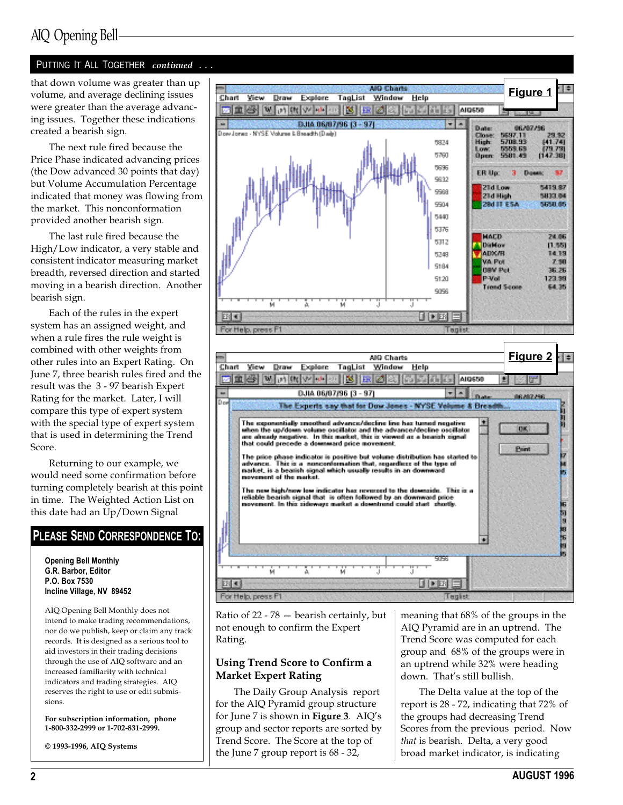## AIQ Opening Bell

#### PUTTING IT ALL TOGETHER continued ...

that down volume was greater than up volume, and average declining issues were greater than the average advancing issues. Together these indications created a bearish sign.

The next rule fired because the Price Phase indicated advancing prices (the Dow advanced 30 points that day) but Volume Accumulation Percentage indicated that money was flowing from the market. This nonconformation provided another bearish sign.

The last rule fired because the High/Low indicator, a very stable and consistent indicator measuring market breadth, reversed direction and started moving in a bearish direction. Another bearish sign.

Each of the rules in the expert system has an assigned weight, and when a rule fires the rule weight is combined with other weights from other rules into an Expert Rating. On June 7, three bearish rules fired and the result was the 3 - 97 bearish Expert Rating for the market. Later, I will compare this type of expert system with the special type of expert system that is used in determining the Trend Score.

Returning to our example, we would need some confirmation before turning completely bearish at this point in time. The Weighted Action List on this date had an Up/Down Signal

#### PLEASE SEND CORRESPONDENCE TO:

Opening Bell Monthly G.R. Barbor, Editor P.O. Box 7530 Incline Village, NV 89452

AIQ Opening Bell Monthly does not intend to make trading recommendations, nor do we publish, keep or claim any track records. It is designed as a serious tool to aid investors in their trading decisions through the use of AIQ software and an increased familiarity with technical indicators and trading strategies. AIQ reserves the right to use or edit submissions.

For subscription information, phone 1-800-332-2999 or 1-702-831-2999.

© 1993-1996, AIQ Systems





Ratio of  $22 - 78$  - bearish certainly, but not enough to confirm the Expert Rating.

#### Using Trend Score to Confirm a Market Expert Rating

The Daily Group Analysis report for the AIQ Pyramid group structure for June 7 is shown in Figure 3. AIQ's group and sector reports are sorted by Trend Score. The Score at the top of the June 7 group report is 68 - 32,

meaning that 68% of the groups in the AIQ Pyramid are in an uptrend. The Trend Score was computed for each group and 68% of the groups were in an uptrend while 32% were heading down. That's still bullish.

The Delta value at the top of the report is 28 - 72, indicating that 72% of the groups had decreasing Trend Scores from the previous period. Now that is bearish. Delta, a very good broad market indicator, is indicating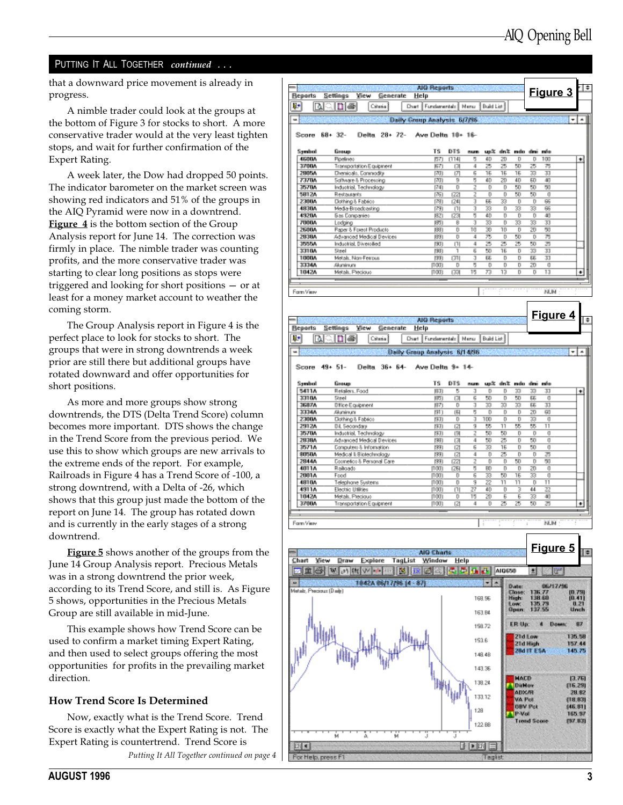#### PUTTING IT ALL TOGETHER continued . . .

that a downward price movement is already in  $\vert$ progress.

A nimble trader could look at the groups at the bottom of Figure 3 for stocks to short. A more conservative trader would at the very least tighten stops, and wait for further confirmation of the Expert Rating.

A week later, the Dow had dropped 50 points. The indicator barometer on the market screen was showing red indicators and 51% of the groups in the AIQ Pyramid were now in a downtrend. Figure 4 is the bottom section of the Group Analysis report for June 14. The correction was firmly in place. The nimble trader was counting profits, and the more conservative trader was starting to clear long positions as stops were triggered and looking for short positions  $-$  or at least for a money market account to weather the coming storm.

The Group Analysis report in Figure 4 is the perfect place to look for stocks to short. The groups that were in strong downtrends a week prior are still there but additional groups have rotated downward and offer opportunities for short positions.

As more and more groups show strong downtrends, the DTS (Delta Trend Score) column becomes more important. DTS shows the change in the Trend Score from the previous period. We use this to show which groups are new arrivals to the extreme ends of the report. For example, Railroads in Figure 4 has a Trend Score of -100, a strong downtrend, with a Delta of -26, which shows that this group just made the bottom of the report on June 14. The group has rotated down and is currently in the early stages of a strong downtrend.

**Figure 5** shows another of the groups from the June 14 Group Analysis report. Precious Metals was in a strong downtrend the prior week, according to its Trend Score, and still is. As Figure 5 shows, opportunities in the Precious Metals Group are still available in mid-June.

This example shows how Trend Score can be used to confirm a market timing Expert Rating, and then used to select groups offering the most opportunities for profits in the prevailing market direction.

#### How Trend Score Is Determined

Now, exactly what is the Trend Score. Trend Score is exactly what the Expert Rating is not. The Expert Rating is countertrend. Trend Score is

Putting It All Together continued on page

| <b>Beports</b>                                                       | Settings                                                                                                    | <b>View</b><br>Generate                                                           |                                    |                                                                    |                                             |                                        |                                                       |                                           |                                          |                                                       |                                          |                                                                       |
|----------------------------------------------------------------------|-------------------------------------------------------------------------------------------------------------|-----------------------------------------------------------------------------------|------------------------------------|--------------------------------------------------------------------|---------------------------------------------|----------------------------------------|-------------------------------------------------------|-------------------------------------------|------------------------------------------|-------------------------------------------------------|------------------------------------------|-----------------------------------------------------------------------|
| 驴                                                                    | <u>distrial</u>                                                                                             | Crissia)                                                                          | Help<br>Chart                      | Fundamentals   Menu                                                |                                             |                                        | Build List                                            |                                           |                                          |                                                       | Figure 3                                 |                                                                       |
|                                                                      |                                                                                                             |                                                                                   | <b>Daily Group Analysis 6/7/96</b> |                                                                    |                                             |                                        |                                                       |                                           |                                          |                                                       |                                          | ٠                                                                     |
|                                                                      | 68+ 32-                                                                                                     | Delta 28+ 72-                                                                     |                                    | Ave Delta 18+ 16-                                                  |                                             |                                        |                                                       |                                           |                                          |                                                       |                                          |                                                                       |
| Score                                                                |                                                                                                             |                                                                                   |                                    |                                                                    |                                             |                                        |                                                       |                                           |                                          |                                                       |                                          |                                                                       |
| Symbol                                                               | Group                                                                                                       |                                                                                   |                                    | TS                                                                 | DTS                                         | num                                    |                                                       |                                           |                                          | up% din& mdo dini mfo                                 |                                          |                                                                       |
| 4600A<br>3700A                                                       | Ploelines                                                                                                   | Transportation Equipment                                                          |                                    | 所引<br>(67)                                                         | 11141<br>13                                 | 5<br>4                                 | 40<br>25                                              | 20<br>25                                  | D<br>50                                  | D<br>25                                               | 100<br>75                                |                                                                       |
| 2905A                                                                | Dienicali, Connodiy                                                                                         |                                                                                   |                                    | תיהן                                                               | ιл                                          | 6                                      | 15                                                    | 15                                        | 15                                       | 33                                                    | 33                                       |                                                                       |
| 737UA                                                                |                                                                                                             | Software & Processing                                                             |                                    | תיהן                                                               | в                                           | 5                                      | 40                                                    | zo                                        | 40                                       | 60                                                    | 40                                       |                                                                       |
| 357UA                                                                | Industrial, Technology                                                                                      |                                                                                   |                                    | [74]                                                               | D                                           | 2                                      | D                                                     | D                                         | 50                                       | 50                                                    | 50                                       |                                                                       |
| 5812A<br>2300A                                                       | Restaurants<br>Diothing & Fabrico                                                                           |                                                                                   |                                    | 商<br>וזיהן                                                         | (22)<br>124                                 | 2<br>J                                 | D<br>55                                               | D<br>33                                   | 50<br>D                                  | 50<br>D                                               | O<br>66                                  |                                                                       |
| 4830A                                                                | Media-Broadcasting                                                                                          |                                                                                   |                                    | [79]                                                               | $\Box$                                      | E                                      | 33                                                    | D                                         | 33                                       | 33                                                    | 66                                       |                                                                       |
| 4920A                                                                | <b>Gas Conpanies</b>                                                                                        |                                                                                   |                                    | 1921                                                               | (23)                                        | 5                                      | 40                                                    | D                                         | D                                        | D                                                     | 40                                       |                                                                       |
| <b>7000A</b><br>2600A                                                | Lodging                                                                                                     |                                                                                   |                                    | 防〕                                                                 | B<br>D                                      | J<br>10                                | 33<br>30                                              | D<br>10                                   | 33<br>D                                  | 33                                                    | 33<br>50                                 |                                                                       |
| 2838A                                                                |                                                                                                             | Paper & Forest Products<br>Advanced Medical Devices                               |                                    | (88<br>1891                                                        | D                                           | 4                                      | 75                                                    | D                                         | 50                                       | 20<br>D                                               | 75                                       |                                                                       |
| 3050A                                                                | Industrial, Diversified                                                                                     |                                                                                   |                                    | 19U)                                                               | п                                           | 4                                      | 25                                                    | 25                                        | 25                                       | 50                                                    | 25                                       |                                                                       |
| 3310A                                                                | Steel                                                                                                       |                                                                                   |                                    | 1981)                                                              | ٦                                           | 6                                      | 50                                                    | 15                                        | D                                        | 33                                                    | 33                                       |                                                                       |
| 1000A<br>33344                                                       | Metals, Non-Ferous<br>Akarimun                                                                              |                                                                                   |                                    | [33]<br>(100)                                                      | [31]<br>D                                   | J<br>5                                 | 55<br>D                                               | D<br>D                                    | D<br>D                                   | 55<br>20                                              | 33<br>o                                  |                                                                       |
| 1042A                                                                | Metals, Precious                                                                                            |                                                                                   |                                    | 11001                                                              | (33)                                        | 15                                     | 73                                                    | 13                                        | D                                        | D                                                     | 13                                       |                                                                       |
|                                                                      |                                                                                                             |                                                                                   |                                    |                                                                    |                                             |                                        |                                                       |                                           |                                          |                                                       |                                          |                                                                       |
| Fann View                                                            |                                                                                                             |                                                                                   |                                    |                                                                    |                                             |                                        |                                                       |                                           |                                          |                                                       | NUM                                      |                                                                       |
|                                                                      |                                                                                                             |                                                                                   |                                    |                                                                    |                                             |                                        |                                                       |                                           |                                          |                                                       |                                          |                                                                       |
|                                                                      |                                                                                                             |                                                                                   |                                    |                                                                    |                                             |                                        |                                                       |                                           |                                          |                                                       |                                          |                                                                       |
|                                                                      |                                                                                                             |                                                                                   |                                    | AIO Reports                                                        |                                             |                                        |                                                       |                                           |                                          |                                                       | Figure 4                                 |                                                                       |
| <b>Beports</b>                                                       | Settings                                                                                                    | View<br>Generate                                                                  | Help                               |                                                                    |                                             |                                        |                                                       |                                           |                                          |                                                       |                                          |                                                                       |
| ņ,                                                                   | <b>BISIDIA</b>                                                                                              | Caluria)                                                                          | Chart                              | Fundamentals   Menu                                                |                                             |                                        | Build List                                            |                                           |                                          |                                                       |                                          |                                                                       |
|                                                                      |                                                                                                             |                                                                                   |                                    |                                                                    |                                             |                                        |                                                       |                                           |                                          |                                                       |                                          |                                                                       |
|                                                                      |                                                                                                             |                                                                                   | Daily Group Analysis 6/14/98       |                                                                    |                                             |                                        |                                                       |                                           |                                          |                                                       |                                          |                                                                       |
| 3687A<br>33344<br>2300A<br>2912A<br>357UA<br>2838A<br>3571A          | <b>Uffice Equipment</b><br>Akminum<br>Diothing & Fabrico<br><b>Dil.</b> Secondary<br>Industrial. Technology | Advanced Medical Devices<br>Computers & Information                               |                                    | 防〕<br>197)<br>191 I<br><b>[33]</b><br>133)<br>193)<br>(38)<br>1991 | гэ<br>D<br>围<br>D<br>œ<br>U.<br>13<br>ø     | E<br>5<br>J<br>э<br>z<br>4<br>6        | 33<br>D<br>100<br>55<br>50<br>50<br>33                | D<br>33<br>D<br>D<br>11<br>50<br>25<br>15 | 33<br>D<br>D<br>55<br>D<br>D<br>D        | 跖<br>ZD<br>33<br>55<br>D<br>50<br>50                  | 33<br>60<br>ŋ<br>11<br>ŋ<br>o<br>o       |                                                                       |
| 8050A<br>2844A<br>4011A<br>2001A<br>4810A<br>4911A<br>1042A<br>3700A | Railoado<br>Food<br>Telephone Systems<br>Electric Utilities<br>Metals, Precious                             | Medical I: Biotechnology<br>Cosmetics & Personal Care<br>Transportation Equipment |                                    | 1331<br>(33)<br>נססון<br>(100)<br>11001<br>11001<br>11001<br>נסס ח | 13<br>(22)<br>(26)<br>D<br>D<br>Π<br>D<br>ß | 4<br>Z<br>5<br>6<br>э<br>Z7<br>15<br>4 | D<br>D<br>B <sub>D</sub><br>33<br>zz<br>40<br>20<br>D | 25<br>D<br>D<br>50<br>11<br>D<br>Б<br>z   | D<br>50<br>D<br>15<br>11<br>7<br>Б<br>25 | D<br>D<br>20<br>33<br>D<br>$\overline{u}$<br>33<br>50 | ಸ<br>50<br>o<br>Ū<br>11<br>Z2<br>40<br>ಸ |                                                                       |
|                                                                      |                                                                                                             |                                                                                   |                                    |                                                                    |                                             |                                        |                                                       |                                           |                                          |                                                       |                                          |                                                                       |
|                                                                      |                                                                                                             |                                                                                   |                                    |                                                                    |                                             |                                        |                                                       |                                           |                                          | t.                                                    | NUM                                      |                                                                       |
|                                                                      |                                                                                                             |                                                                                   |                                    |                                                                    |                                             |                                        |                                                       |                                           |                                          |                                                       |                                          |                                                                       |
|                                                                      |                                                                                                             |                                                                                   |                                    |                                                                    |                                             |                                        |                                                       |                                           |                                          |                                                       | Figure 5                                 |                                                                       |
|                                                                      | View<br>Draw                                                                                                | Explore                                                                           | TagList                            | <b>AIO Charts</b><br>Window                                        | Help                                        |                                        |                                                       |                                           |                                          |                                                       |                                          |                                                                       |
| Fann View<br>Chart                                                   | 医重感网膜网膜                                                                                                     |                                                                                   | M                                  | A                                                                  | 带带插曲                                        |                                        |                                                       | AI0650                                    |                                          | 회                                                     | œ                                        |                                                                       |
|                                                                      |                                                                                                             |                                                                                   |                                    |                                                                    |                                             |                                        |                                                       |                                           |                                          |                                                       |                                          |                                                                       |
|                                                                      |                                                                                                             | 42A B                                                                             |                                    |                                                                    |                                             |                                        |                                                       |                                           | Date:                                    |                                                       | 06/17/96                                 |                                                                       |
|                                                                      |                                                                                                             |                                                                                   |                                    |                                                                    |                                             |                                        | 169.96                                                |                                           | <b>Dlose:</b><br><b>High:</b>            | 136.77<br>138.60                                      |                                          |                                                                       |
|                                                                      |                                                                                                             |                                                                                   |                                    |                                                                    |                                             |                                        |                                                       |                                           | Low.                                     | 135.79                                                |                                          |                                                                       |
|                                                                      |                                                                                                             |                                                                                   |                                    |                                                                    |                                             |                                        | 163.B4                                                |                                           | <b>Open:</b>                             | 137.55                                                |                                          |                                                                       |
|                                                                      |                                                                                                             |                                                                                   |                                    |                                                                    |                                             |                                        | 158.72                                                |                                           | ER Up:                                   |                                                       | 4 Doesn                                  |                                                                       |
|                                                                      |                                                                                                             |                                                                                   |                                    |                                                                    |                                             |                                        |                                                       |                                           |                                          |                                                       |                                          |                                                                       |
|                                                                      |                                                                                                             |                                                                                   |                                    |                                                                    |                                             |                                        | 153.6                                                 |                                           |                                          | <b>Zid Low</b><br>21d High                            |                                          |                                                                       |
|                                                                      |                                                                                                             |                                                                                   |                                    |                                                                    |                                             |                                        |                                                       |                                           |                                          | 28d IT ESA                                            |                                          |                                                                       |
|                                                                      |                                                                                                             |                                                                                   |                                    |                                                                    |                                             |                                        | 149.48                                                |                                           |                                          |                                                       |                                          |                                                                       |
| Metals, Precioux (Daily)                                             |                                                                                                             |                                                                                   |                                    |                                                                    |                                             |                                        | 143.36                                                |                                           |                                          |                                                       |                                          |                                                                       |
|                                                                      |                                                                                                             |                                                                                   |                                    |                                                                    |                                             |                                        |                                                       |                                           | <b>MACD</b>                              |                                                       |                                          |                                                                       |
|                                                                      |                                                                                                             |                                                                                   |                                    |                                                                    |                                             |                                        | 139.24                                                |                                           | <b>Dirklow</b>                           |                                                       |                                          |                                                                       |
|                                                                      |                                                                                                             |                                                                                   |                                    |                                                                    |                                             |                                        | 133.12                                                |                                           | <b>ADX/R</b>                             |                                                       |                                          |                                                                       |
|                                                                      |                                                                                                             |                                                                                   |                                    |                                                                    |                                             |                                        |                                                       |                                           | VA Pot                                   | <b>OBV-Pot</b>                                        |                                          |                                                                       |
|                                                                      |                                                                                                             |                                                                                   |                                    |                                                                    |                                             | 128                                    |                                                       |                                           | $P$ -Vol                                 |                                                       |                                          | 135.58<br>157.44<br>145.75<br>(16.29)<br>(18.83)<br>(46.81)<br>165.97 |
|                                                                      |                                                                                                             |                                                                                   |                                    |                                                                    |                                             |                                        | 122.88                                                |                                           |                                          | <b>Trend Score</b>                                    |                                          | (37.83)                                                               |
|                                                                      |                                                                                                             |                                                                                   |                                    |                                                                    |                                             |                                        |                                                       |                                           |                                          |                                                       |                                          |                                                                       |
|                                                                      | м                                                                                                           | м<br>д                                                                            | J                                  |                                                                    | J                                           |                                        |                                                       |                                           |                                          |                                                       |                                          |                                                                       |
| я                                                                    |                                                                                                             |                                                                                   |                                    |                                                                    | u                                           | ER                                     |                                                       |                                           |                                          |                                                       |                                          |                                                                       |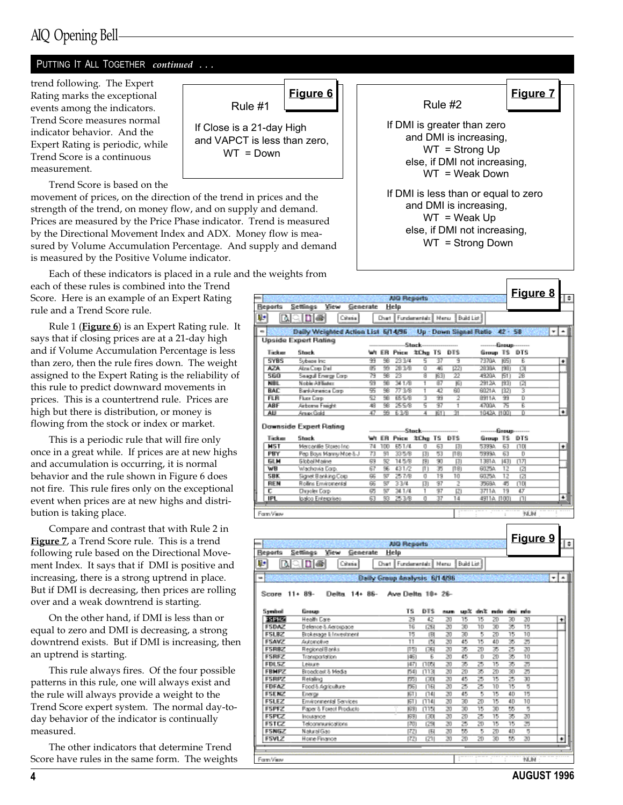## AIQ Opening Bell

#### PUTTING IT ALL TOGETHER continued ...

trend following. The Expert Rating marks the exceptional events among the indicators. Trend Score measures normal indicator behavior. And the Expert Rating is periodic, while Trend Score is a continuous measurement.

Trend Score is based on the

movement of prices, on the direction of the trend in prices and the strength of the trend, on money flow, and on supply and demand. Prices are measured by the Price Phase indicator. Trend is measured by the Directional Movement Index and ADX. Money flow is measured by Volume Accumulation Percentage. And supply and demand is measured by the Positive Volume indicator.

Each of these indicators is placed in a rule and the weights from

each of these rules is combined into the Trend Score. Here is an example of an Expert Rating rule and a Trend Score rule.

Rule 1 (Figure 6) is an Expert Rating rule. It says that if closing prices are at a 21-day high and if Volume Accumulation Percentage is less than zero, then the rule fires down. The weight assigned to the Expert Rating is the reliability of this rule to predict downward movements in prices. This is a countertrend rule. Prices are high but there is distribution, or money is flowing from the stock or index or market.

This is a periodic rule that will fire only once in a great while. If prices are at new highs and accumulation is occurring, it is normal behavior and the rule shown in Figure 6 does not fire. This rule fires only on the exceptional event when prices are at new highs and distribution is taking place.

Compare and contrast that with Rule 2 in Figure 7, a Trend Score rule. This is a trend following rule based on the Directional Movement Index. It says that if DMI is positive and increasing, there is a strong uptrend in place. But if DMI is decreasing, then prices are rolling over and a weak downtrend is starting.

On the other hand, if DMI is less than or equal to zero and DMI is decreasing, a strong downtrend exists. But if DMI is increasing, then an uptrend is starting.

This rule always fires. Of the four possible patterns in this rule, one will always exist and the rule will always provide a weight to the Trend Score expert system. The normal day-today behavior of the indicator is continually measured.

The other indicators that determine Trend Score have rules in the same form. The weights

If Close is a 21-day High and VAPCT is less than zero,  $WT = Down$ 

Rule #1



|                              |                                             |             |          |          | AIG Reports                  |                     |          |                                |                        |             |                 | <u>Figure 8</u>     |    | ŧ  |
|------------------------------|---------------------------------------------|-------------|----------|----------|------------------------------|---------------------|----------|--------------------------------|------------------------|-------------|-----------------|---------------------|----|----|
| <b>Beports</b>               | Settings<br>View                            | Generate    |          |          | Help                         |                     |          |                                |                        |             |                 |                     |    |    |
| ņ.                           | <b>De</b><br>ΓN                             | Criteria I  |          | Chart I  |                              | Fundamentals   Menu |          |                                | Build List             |             |                 |                     |    |    |
|                              |                                             |             |          |          |                              |                     |          |                                |                        |             |                 |                     |    |    |
| ۰                            | Daily Weighted Action List 5/14/96          |             |          |          |                              |                     |          | Up - Down Signal Ratio 42 - 58 |                        |             |                 |                     | ×١ | ٠  |
|                              | Upside Expert Rating                        |             |          |          | --Stock                      |                     |          |                                |                        |             | -Group-         |                     |    |    |
| Ticker                       | Stock                                       |             |          | ₩ ER     | Price                        | 笔Chg TS             |          | DTS                            |                        | Group TS    |                 | DTS                 |    |    |
| <b>SYBS</b>                  | Sybane Inc.                                 |             | 丽        | 98       | 23 3 4                       | 5                   | 37       | 9                              | 7370A                  |             | <b>ISST</b>     | E                   |    | ۰  |
| AZA.                         | Alma Cosa Del                               |             | æ        | 臸        | 28.3/8                       | σ                   | 咽        | 1221                           | 2838A                  |             | 1991            | 図                   |    |    |
| <b>SG0</b>                   | Seagul Energy Corp.                         |             | 79       | 丽        | z                            | ত্র                 | 163)     | 22                             | 4920A                  |             | <b>BT</b>       | 26                  |    |    |
| <b>NBL</b>                   | Noble Alfiliatez                            |             | 59       | 98       | 341/8                        | Ŧ                   | श्वर     | 面                              | 2912A                  |             | 面               | 面                   |    |    |
| <b>BAC</b><br><b>FLR</b>     | BankAnesica Corp.<br>Fluor Carp             |             | 空<br>52  | 丽<br>丽   | 77 3/B<br>655/8              | Ŧ<br>Τ              | 42<br>99 | ēΰ<br>2                        | 6021A<br>8911A         |             | 1921<br>99      | 3<br>ъ              |    |    |
| <b>ABF</b>                   | Airbonne Freight                            |             | 48       | 98       | 255/8                        | 5                   | 97       | ī                              | 4700A                  |             | ਨ               | Έ                   |    |    |
| AIJ                          | Amax Gold                                   |             | 47       | 箩        | 63/8                         | 4                   | IST)     | 'n                             |                        | 1042A (100) |                 | ū                   |    | ٠  |
|                              |                                             |             |          |          |                              |                     |          |                                |                        |             |                 |                     |    |    |
|                              | Downside Expert Rating                      |             |          |          | -----Stock-                  |                     |          |                                |                        | Group-      |                 |                     |    |    |
| Ticker                       | Stock                                       |             |          |          | Wt ER Price                  | 怎Chg TS             |          | DTS                            |                        | Group TS    |                 | DTS                 |    |    |
| <b>MST</b>                   | Mercanille Stores Inc.                      |             | 74       | 100      | 651/4                        | O                   | 63       | 团                              | 53334                  |             | 63              | <b>1101</b>         |    | ٠  |
| PBY                          | Pep Boys Manny Moe & J                      |             | 73       | 91       | 33 5/B                       | 团                   | 53       | [19]                           | 53334                  |             | 63              | D                   |    |    |
| <b>GLM</b>                   | <b>Global Maine</b>                         |             | 69       | B2       | 145/B                        | 阴                   | 90       | 团                              | 13914                  |             | 431             | 日四                  |    |    |
| WB                           | Wachovia Corp.                              |             | 67       | 96       | 431/2                        | m                   | 35       | [15]                           | 60254                  |             | 12              | 図                   |    |    |
| SBK<br>REN                   | Signet Banking Corp<br>Rollins Environental |             | 66<br>66 | BT<br>97 | 257/B<br>33/4                | o<br>团              | 19<br>97 | 10<br>2                        | 60.75A                 |             | 12<br>45        | 121<br><b>IJ DI</b> |    |    |
| τ                            | <b>Directed Corp.</b>                       |             | 65       | 87       | 341/4                        | 1                   | 97       | 团                              | 3569A<br>37114         |             | 19              | 47                  |    |    |
| IPL                          | loaloo Enterprises                          |             | 63       | 93       | 25 3/B                       | O                   | 37       | 14                             |                        | 4911A (100) |                 | $\Box$              |    | ٠  |
|                              |                                             |             |          |          |                              |                     |          |                                |                        |             |                 |                     |    |    |
| Fam View                     |                                             |             |          |          |                              |                     |          |                                |                        |             |                 | <b>YJUM</b>         |    |    |
| <b>Beports</b>               | View<br>Settings                            | Generate    |          |          | AIG Reports<br>Help          |                     |          |                                |                        |             |                 |                     |    | ١÷ |
| ņ,<br>D.                     | هزور                                        | Cútaria (   |          |          | Chart    Fundamentals        |                     | Menu     |                                | Build List             |             |                 |                     |    |    |
| u                            |                                             |             |          |          | Daily Group Analysis 6/14/36 |                     |          |                                |                        |             |                 |                     | ÷  | ۰  |
|                              |                                             |             |          |          |                              |                     |          |                                |                        |             |                 |                     |    |    |
| Score                        |                                             |             |          |          |                              |                     |          |                                |                        |             |                 |                     |    |    |
|                              | $11 + 89 -$<br>Delta.                       | $14 + 86 -$ |          |          | Ave Delta 10+ 26-            |                     |          |                                |                        |             |                 |                     |    |    |
|                              |                                             |             |          |          |                              |                     |          |                                |                        |             |                 |                     |    |    |
| Symbol                       | Group                                       |             |          |          | TS                           | DTS                 |          | num                            | upă druă redo dini mfo |             |                 |                     |    |    |
| 医胃肠                          | Health Eare                                 |             |          |          | 29                           | 42                  |          | 20<br>15                       | 15                     | ZD          | 30              | 20                  |    | ٠  |
| <b>FSDAZ</b>                 | Delence & Aerospace                         |             |          |          | 16                           | 1261                |          | 20<br>30                       | 10                     | 30          | 35              | 15                  |    |    |
| FSLBZ                        | Brokesage II: Investment                    |             |          |          | 15                           | 圓                   |          | 30<br>20                       | Б                      | zo          | $\overline{15}$ | 10                  |    |    |
| FSAVZ                        | Automotive                                  |             |          |          | 11                           | 151                 |          | 20<br>45                       | 15                     | 4D          | 35              | 25                  |    |    |
| <b>FSRBZ</b><br><b>FSRFZ</b> | Regional Banks<br>Transportation            |             |          |          | 151<br>(46)                  | [36]                | Б        | 20<br>35<br>45<br>20           | 20<br>D                | 35<br>20    | 25<br>ऊ         | 20<br>10            |    |    |
| FDLSZ                        | Leisure                                     |             |          |          | 47                           | (105)               |          | 35<br>20                       | 25                     | 15          | 35              | ক্ৰ                 |    |    |
| FBMPZ                        | Broadcast & Media                           |             |          |          | 541                          | (113)               |          | 20<br>ZD                       | 35                     | 20          | 30              | ক্ৰ                 |    |    |
| FSRPZ                        | Retailing                                   |             |          |          | ण्डा                         | 130                 |          | 45<br>20                       | z                      | 15          | z               | 30                  |    |    |
| FDFAZ                        | Food & Agriculture                          |             |          |          | FX51                         | 门 6                 |          | 25<br>20                       | 25                     | 10          | 15              | 5                   |    |    |
| FSENZ                        | Energy                                      |             |          |          | 161 I                        | [74]                |          | 20<br>45                       | Б                      | 15          | 4D              | 15                  |    |    |
| FSLEZ                        | Environmental Services                      |             |          |          | 1611                         | 1774)               |          | 30<br>20                       | 20                     | 15          | 40              | 10                  |    |    |
| FSPFZ                        | Paper & Forest Products                     |             |          |          | 1691                         | 11151               |          | 30<br>20                       | 15                     | 30<br>15    | 55              | 5<br>20             |    |    |
| FSPCZ<br>FSTCZ               | Insurance<br>Telconmunications              |             |          |          | (69<br>וזיה                  | (30)<br>(29)        |          | 20<br>20<br>25<br>20           | 25<br>ZD               | 15          | 35<br>15        | ಸ                   |    |    |
| FSNGZ                        | Natural Gao                                 |             |          |          | 1721                         | 围                   |          | 55<br>20                       | Б                      | ZD          | 40              | 5                   |    |    |
| FSVLZ                        | Home Finance                                |             |          |          | 72)                          | [21]                |          | 20<br>20                       | ZD                     | 30          | 55              | 20                  |    | ٠  |
|                              |                                             |             |          |          |                              |                     |          |                                |                        |             |                 |                     |    |    |
| Form View                    |                                             |             |          |          |                              |                     |          |                                |                        |             |                 | NUM                 |    |    |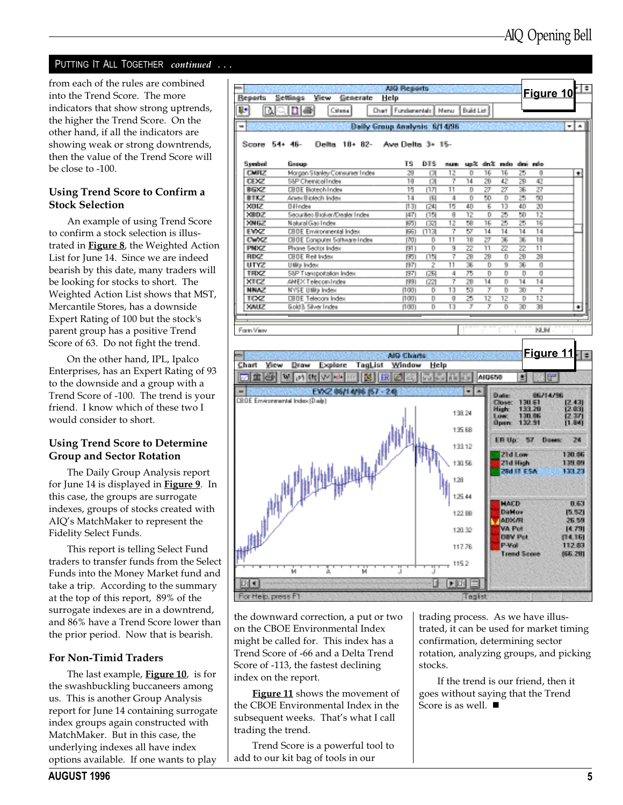#### PUTTING IT ALL TOGETHER continued ...

from each of the rules are combined into the Trend Score. The more indicators that show strong uptrends, the higher the Trend Score. On the other hand, if all the indicators are showing weak or strong downtrends, then the value of the Trend Score will be close to -100.

#### Using Trend Score to Confirm a Stock Selection

An example of using Trend Score to confirm a stock selection is illustrated in Figure 8, the Weighted Action List for June 14. Since we are indeed bearish by this date, many traders will be looking for stocks to short. The Weighted Action List shows that MST, Mercantile Stores, has a downside Expert Rating of 100 but the stock's parent group has a positive Trend Score of 63. Do not fight the trend.

On the other hand, IPL, Ipalco Enterprises, has an Expert Rating of 93 to the downside and a group with a Trend Score of -100. The trend is your friend. I know which of these two I would consider to short.

#### Using Trend Score to Determine Group and Sector Rotation

The Daily Group Analysis report for June 14 is displayed in Figure 9. In this case, the groups are surrogate indexes, groups of stocks created with AIQ's MatchMaker to represent the Fidelity Select Funds.

This report is telling Select Fund traders to transfer funds from the Select Funds into the Money Market fund and take a trip. According to the summary at the top of this report, 89% of the surrogate indexes are in a downtrend, and 86% have a Trend Score lower than the prior period. Now that is bearish.

#### For Non-Timid Traders

The last example, Figure 10, is for the swashbuckling buccaneers among us. This is another Group Analysis report for June 14 containing surrogate index groups again constructed with MatchMaker. But in this case, the underlying indexes all have index options available. If one wants to play



the downward correction, a put or two on the CBOE Environmental Index might be called for. This index has a Trend Score of -66 and a Delta Trend Score of -113, the fastest declining index on the report.

Figure 11 shows the movement of the CBOE Environmental Index in the subsequent weeks. That's what I call trading the trend.

Trend Score is a powerful tool to add to our kit bag of tools in our

trading process. As we have illustrated, it can be used for market timing confirmation, determining sector rotation, analyzing groups, and picking stocks.

If the trend is our friend, then it goes without saying that the Trend Score is as well.  $\blacksquare$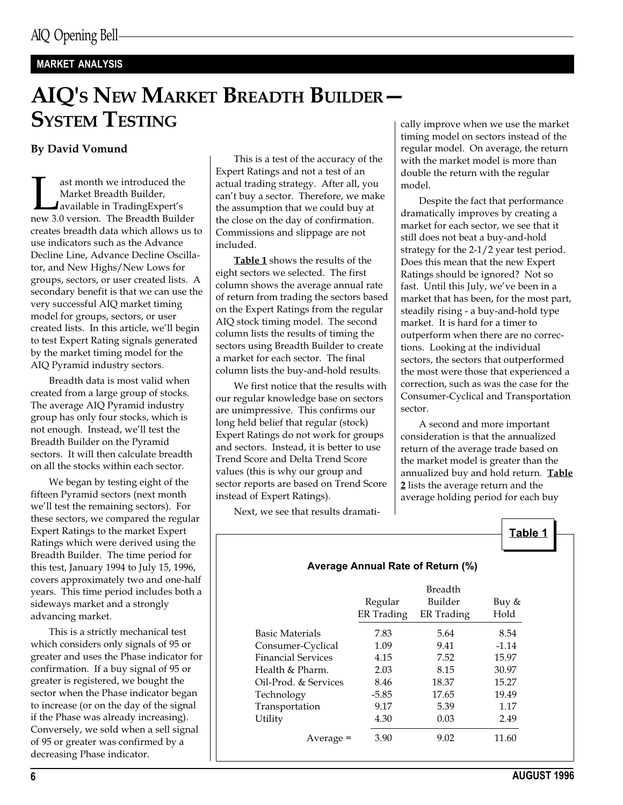## MARKET ANALYSIS

# AIQ'S NEW MARKET BREADTH BUILDER **SYSTEM TESTING**

### By David Vomund

ast month we introduced the<br>Market Breadth Builder,<br>available in TradingExpert's<br>new 3.0 version. The Breadth Builder Market Breadth Builder, available in TradingExpert's creates breadth data which allows us to use indicators such as the Advance Decline Line, Advance Decline Oscillator, and New Highs/New Lows for groups, sectors, or user created lists. A secondary benefit is that we can use the very successful AIQ market timing model for groups, sectors, or user created lists. In this article, we'll begin to test Expert Rating signals generated by the market timing model for the AIQ Pyramid industry sectors.

Breadth data is most valid when created from a large group of stocks. The average AIQ Pyramid industry group has only four stocks, which is not enough. Instead, we'll test the Breadth Builder on the Pyramid sectors. It will then calculate breadth on all the stocks within each sector.

We began by testing eight of the fifteen Pyramid sectors (next month we'll test the remaining sectors). For these sectors, we compared the regular Expert Ratings to the market Expert Ratings which were derived using the Breadth Builder. The time period for this test, January 1994 to July 15, 1996, covers approximately two and one-half years. This time period includes both a sideways market and a strongly advancing market.

This is a strictly mechanical test which considers only signals of 95 or greater and uses the Phase indicator for confirmation. If a buy signal of 95 or greater is registered, we bought the sector when the Phase indicator began to increase (or on the day of the signal if the Phase was already increasing). Conversely, we sold when a sell signal of 95 or greater was confirmed by a decreasing Phase indicator.

This is a test of the accuracy of the Expert Ratings and not a test of an actual trading strategy. After all, you can't buy a sector. Therefore, we make the assumption that we could buy at the close on the day of confirmation. Commissions and slippage are not included.

Table 1 shows the results of the eight sectors we selected. The first column shows the average annual rate of return from trading the sectors based on the Expert Ratings from the regular AIQ stock timing model. The second column lists the results of timing the sectors using Breadth Builder to create a market for each sector. The final column lists the buy-and-hold results.

We first notice that the results with our regular knowledge base on sectors are unimpressive. This confirms our long held belief that regular (stock) Expert Ratings do not work for groups and sectors. Instead, it is better to use Trend Score and Delta Trend Score values (this is why our group and sector reports are based on Trend Score instead of Expert Ratings).

Next, we see that results dramati-

cally improve when we use the market timing model on sectors instead of the regular model. On average, the return with the market model is more than double the return with the regular model.

Despite the fact that performance dramatically improves by creating a market for each sector, we see that it still does not beat a buy-and-hold strategy for the 2-1/2 year test period. Does this mean that the new Expert Ratings should be ignored? Not so fast. Until this July, we've been in a market that has been, for the most part, steadily rising - a buy-and-hold type market. It is hard for a timer to outperform when there are no corrections. Looking at the individual sectors, the sectors that outperformed the most were those that experienced a correction, such as was the case for the Consumer-Cyclical and Transportation sector.

A second and more important consideration is that the annualized return of the average trade based on the market model is greater than the annualized buy and hold return. Table 2 lists the average return and the average holding period for each buy

Table 1

|                           | Regular<br><b>ER</b> Trading | Builder<br>ER Trading | Buy &<br>Hold |
|---------------------------|------------------------------|-----------------------|---------------|
| Basic Materials           | 7.83                         | 5.64                  | 8.54          |
| Consumer-Cyclical         | 1.09                         | 9.41                  | $-1.14$       |
| <b>Financial Services</b> | 4.15                         | 7.52                  | 15.97         |
| Health $&$ Pharm.         | 2.03                         | 8.15                  | 30.97         |
| Oil-Prod. & Services      | 8.46                         | 18.37                 | 15.27         |
| Technology                | $-5.85$                      | 17.65                 | 19.49         |
| Transportation            | 9.17                         | 5.39                  | 1.17          |
| Utility                   | 4.30                         | 0.03                  | 2.49          |
| Average =                 | 3.90                         | 9.02                  | 11.60         |

#### Average Annual Rate of Return (%)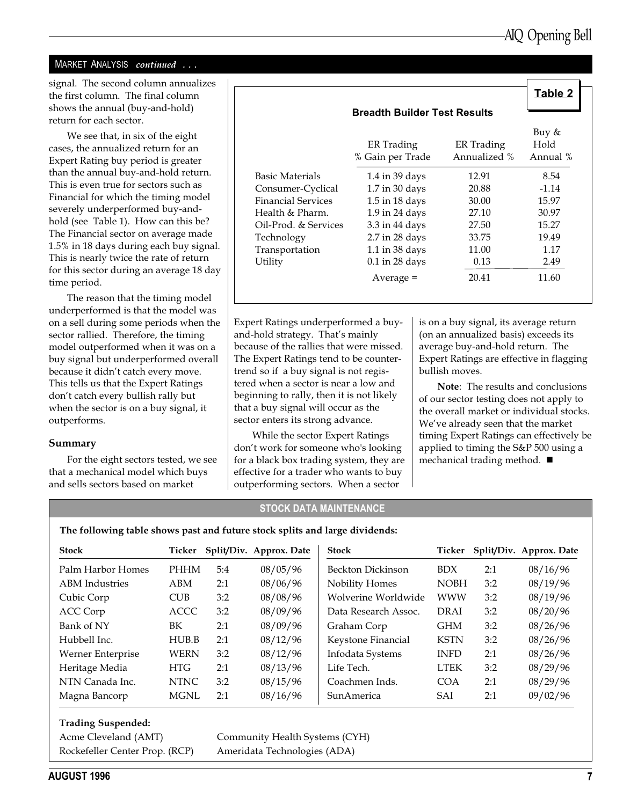#### MARKET ANALYSIS continued ...

signal. The second column annualizes the first column. The final column shows the annual (buy-and-hold) return for each sector.

We see that, in six of the eight cases, the annualized return for an Expert Rating buy period is greater than the annual buy-and-hold return. This is even true for sectors such as Financial for which the timing model severely underperformed buy-andhold (see Table 1). How can this be? The Financial sector on average made 1.5% in 18 days during each buy signal. This is nearly twice the rate of return for this sector during an average 18 day time period.

The reason that the timing model underperformed is that the model was on a sell during some periods when the sector rallied. Therefore, the timing model outperformed when it was on a buy signal but underperformed overall because it didn't catch every move. This tells us that the Expert Ratings don't catch every bullish rally but when the sector is on a buy signal, it outperforms.

#### Summary

For the eight sectors tested, we see that a mechanical model which buys and sells sectors based on market

|                           |                                     |                            | Table 2                   |
|---------------------------|-------------------------------------|----------------------------|---------------------------|
|                           | <b>Breadth Builder Test Results</b> |                            |                           |
|                           | ER Trading<br>% Gain per Trade      | ER Trading<br>Annualized % | Buy &<br>Hold<br>Annual % |
| Basic Materials           | 1.4 in 39 days                      | 12.91                      | 8.54                      |
| Consumer-Cyclical         | 1.7 in 30 days                      | 20.88                      | $-1.14$                   |
| <b>Financial Services</b> | 1.5 in 18 days                      | 30.00                      | 15.97                     |
| Health & Pharm.           | 1.9 in 24 days                      | 27.10                      | 30.97                     |
| Oil-Prod. & Services      | 3.3 in 44 days                      | 27.50                      | 15.27                     |
| Technology                | 2.7 in 28 days                      | 33.75                      | 19.49                     |
| Transportation            | 1.1 in 38 days                      | 11.00                      | 1.17                      |
| Utility                   | $0.1$ in 28 days                    | 0.13                       | 2.49                      |
|                           | Average =                           | 20.41                      | 11.60                     |

Expert Ratings underperformed a buyand-hold strategy. That's mainly because of the rallies that were missed. The Expert Ratings tend to be countertrend so if a buy signal is not registered when a sector is near a low and beginning to rally, then it is not likely that a buy signal will occur as the sector enters its strong advance.

While the sector Expert Ratings don't work for someone who's looking for a black box trading system, they are effective for a trader who wants to buy outperforming sectors. When a sector

is on a buy signal, its average return (on an annualized basis) exceeds its average buy-and-hold return. The Expert Ratings are effective in flagging bullish moves.

Note: The results and conclusions of our sector testing does not apply to the overall market or individual stocks. We've already seen that the market timing Expert Ratings can effectively be applied to timing the S&P 500 using a mechanical trading method.  $\blacksquare$ 

#### STOCK DATA MAINTENANCE

The following table shows past and future stock splits and large dividends:

| <b>Stock</b>          | Ticker      |     | Split/Div. Approx. Date | <b>Stock</b>         | Ticker      |     | Split/Div. Approx. Date |
|-----------------------|-------------|-----|-------------------------|----------------------|-------------|-----|-------------------------|
| Palm Harbor Homes     | <b>PHHM</b> | 5:4 | 08/05/96                | Beckton Dickinson    | <b>BDX</b>  | 2:1 | 08/16/96                |
| <b>ABM</b> Industries | ABM         | 2:1 | 08/06/96                | Nobility Homes       | <b>NOBH</b> | 3:2 | 08/19/96                |
| Cubic Corp            | <b>CUB</b>  | 3:2 | 08/08/96                | Wolverine Worldwide  | <b>WWW</b>  | 3:2 | 08/19/96                |
| ACC Corp              | ACCC        | 3:2 | 08/09/96                | Data Research Assoc. | DRAI        | 3:2 | 08/20/96                |
| Bank of NY            | BK          | 2:1 | 08/09/96                | Graham Corp          | <b>GHM</b>  | 3:2 | 08/26/96                |
| Hubbell Inc.          | HUB.B       | 2:1 | 08/12/96                | Keystone Financial   | <b>KSTN</b> | 3:2 | 08/26/96                |
| Werner Enterprise     | <b>WERN</b> | 3:2 | 08/12/96                | Infodata Systems     | <b>INFD</b> | 2:1 | 08/26/96                |
| Heritage Media        | <b>HTG</b>  | 2:1 | 08/13/96                | Life Tech.           | <b>LTEK</b> | 3:2 | 08/29/96                |
| NTN Canada Inc.       | <b>NTNC</b> | 3:2 | 08/15/96                | Coachmen Inds.       | COA         | 2:1 | 08/29/96                |
| Magna Bancorp         | <b>MGNL</b> | 2:1 | 08/16/96                | Sun America          | <b>SAI</b>  | 2:1 | 09/02/96                |

#### Trading Suspended:

Rockefeller Center Prop. (RCP) Ameridata Technologies (ADA)

Acme Cleveland (AMT) Community Health Systems (CYH)